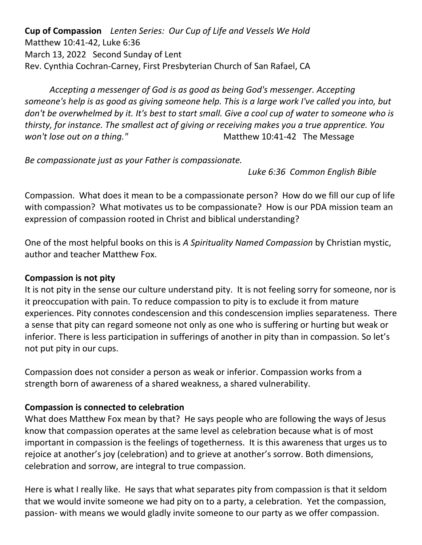**Cup of Compassion** *Lenten Series: Our Cup of Life and Vessels We Hold* Matthew 10:41-42, Luke 6:36 March 13, 2022 Second Sunday of Lent Rev. Cynthia Cochran-Carney, First Presbyterian Church of San Rafael, CA

*Accepting a messenger of God is as good as being God's messenger. Accepting someone's help is as good as giving someone help. This is a large work I've called you into, but don't be overwhelmed by it. It's best to start small. Give a cool cup of water to someone who is thirsty, for instance. The smallest act of giving or receiving makes you a true apprentice. You won't lose out on a thing."* The Message Matthew 10:41-42 The Message

*Be compassionate just as your Father is compassionate.* 

*Luke 6:36 Common English Bible*

Compassion. What does it mean to be a compassionate person? How do we fill our cup of life with compassion? What motivates us to be compassionate? How is our PDA mission team an expression of compassion rooted in Christ and biblical understanding?

One of the most helpful books on this is *A Spirituality Named Compassion* by Christian mystic, author and teacher Matthew Fox.

### **Compassion is not pity**

It is not pity in the sense our culture understand pity. It is not feeling sorry for someone, nor is it preoccupation with pain. To reduce compassion to pity is to exclude it from mature experiences. Pity connotes condescension and this condescension implies separateness. There a sense that pity can regard someone not only as one who is suffering or hurting but weak or inferior. There is less participation in sufferings of another in pity than in compassion. So let's not put pity in our cups.

Compassion does not consider a person as weak or inferior. Compassion works from a strength born of awareness of a shared weakness, a shared vulnerability.

### **Compassion is connected to celebration**

What does Matthew Fox mean by that? He says people who are following the ways of Jesus know that compassion operates at the same level as celebration because what is of most important in compassion is the feelings of togetherness. It is this awareness that urges us to rejoice at another's joy (celebration) and to grieve at another's sorrow. Both dimensions, celebration and sorrow, are integral to true compassion.

Here is what I really like. He says that what separates pity from compassion is that it seldom that we would invite someone we had pity on to a party, a celebration. Yet the compassion, passion- with means we would gladly invite someone to our party as we offer compassion.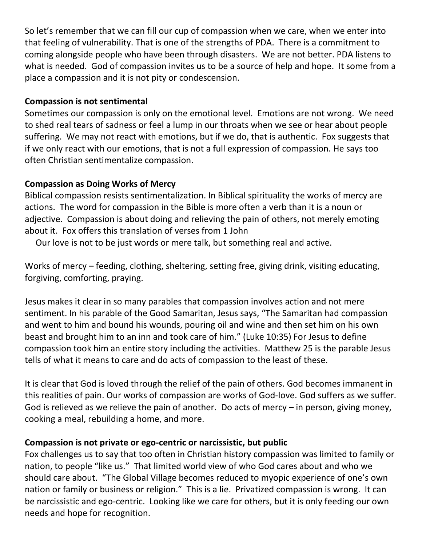So let's remember that we can fill our cup of compassion when we care, when we enter into that feeling of vulnerability. That is one of the strengths of PDA. There is a commitment to coming alongside people who have been through disasters. We are not better. PDA listens to what is needed. God of compassion invites us to be a source of help and hope. It some from a place a compassion and it is not pity or condescension.

#### **Compassion is not sentimental**

Sometimes our compassion is only on the emotional level. Emotions are not wrong. We need to shed real tears of sadness or feel a lump in our throats when we see or hear about people suffering. We may not react with emotions, but if we do, that is authentic. Fox suggests that if we only react with our emotions, that is not a full expression of compassion. He says too often Christian sentimentalize compassion.

#### **Compassion as Doing Works of Mercy**

Biblical compassion resists sentimentalization. In Biblical spirituality the works of mercy are actions. The word for compassion in the Bible is more often a verb than it is a noun or adjective. Compassion is about doing and relieving the pain of others, not merely emoting about it. Fox offers this translation of verses from 1 John

Our love is not to be just words or mere talk, but something real and active.

Works of mercy – feeding, clothing, sheltering, setting free, giving drink, visiting educating, forgiving, comforting, praying.

Jesus makes it clear in so many parables that compassion involves action and not mere sentiment. In his parable of the Good Samaritan, Jesus says, "The Samaritan had compassion and went to him and bound his wounds, pouring oil and wine and then set him on his own beast and brought him to an inn and took care of him." (Luke 10:35) For Jesus to define compassion took him an entire story including the activities. Matthew 25 is the parable Jesus tells of what it means to care and do acts of compassion to the least of these.

It is clear that God is loved through the relief of the pain of others. God becomes immanent in this realities of pain. Our works of compassion are works of God-love. God suffers as we suffer. God is relieved as we relieve the pain of another. Do acts of mercy – in person, giving money, cooking a meal, rebuilding a home, and more.

### **Compassion is not private or ego-centric or narcissistic, but public**

Fox challenges us to say that too often in Christian history compassion was limited to family or nation, to people "like us." That limited world view of who God cares about and who we should care about. "The Global Village becomes reduced to myopic experience of one's own nation or family or business or religion." This is a lie. Privatized compassion is wrong. It can be narcissistic and ego-centric. Looking like we care for others, but it is only feeding our own needs and hope for recognition.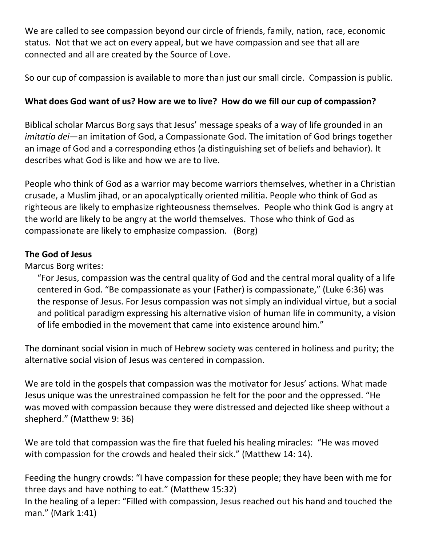We are called to see compassion beyond our circle of friends, family, nation, race, economic status. Not that we act on every appeal, but we have compassion and see that all are connected and all are created by the Source of Love.

So our cup of compassion is available to more than just our small circle. Compassion is public.

# **What does God want of us? How are we to live? How do we fill our cup of compassion?**

Biblical scholar Marcus Borg says that Jesus' message speaks of a way of life grounded in an *imitatio dei*—an imitation of God, a Compassionate God. The imitation of God brings together an image of God and a corresponding ethos (a distinguishing set of beliefs and behavior). It describes what God is like and how we are to live.

People who think of God as a warrior may become warriors themselves, whether in a Christian crusade, a Muslim jihad, or an apocalyptically oriented militia. People who think of God as righteous are likely to emphasize righteousness themselves. People who think God is angry at the world are likely to be angry at the world themselves. Those who think of God as compassionate are likely to emphasize compassion. (Borg)

## **The God of Jesus**

Marcus Borg writes:

"For Jesus, compassion was the central quality of God and the central moral quality of a life centered in God. "Be compassionate as your (Father) is compassionate," (Luke 6:36) was the response of Jesus. For Jesus compassion was not simply an individual virtue, but a social and political paradigm expressing his alternative vision of human life in community, a vision of life embodied in the movement that came into existence around him."

The dominant social vision in much of Hebrew society was centered in holiness and purity; the alternative social vision of Jesus was centered in compassion.

We are told in the gospels that compassion was the motivator for Jesus' actions. What made Jesus unique was the unrestrained compassion he felt for the poor and the oppressed. "He was moved with compassion because they were distressed and dejected like sheep without a shepherd." (Matthew 9: 36)

We are told that compassion was the fire that fueled his healing miracles: "He was moved with compassion for the crowds and healed their sick." (Matthew 14: 14).

Feeding the hungry crowds: "I have compassion for these people; they have been with me for three days and have nothing to eat." (Matthew 15:32)

In the healing of a leper: "Filled with compassion, Jesus reached out his hand and touched the man." (Mark 1:41)